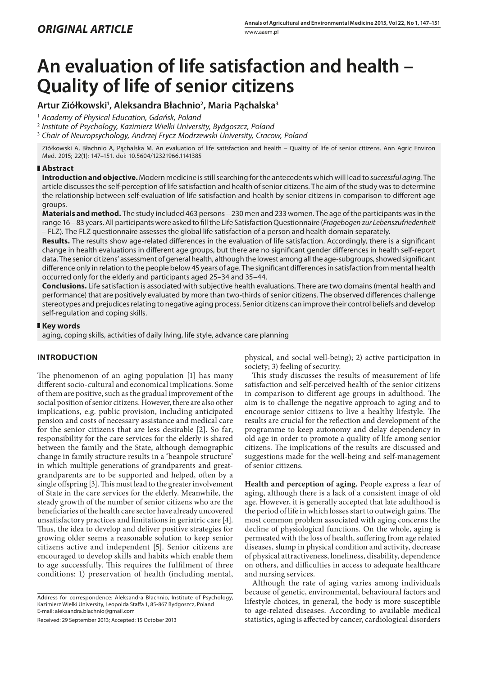# **An evaluation of life satisfaction and health – Quality of life of senior citizens**

# **Artur Ziółkowski1 , Aleksandra Błachnio2 , Maria Pąchalska3**

1  *Academy of Physical Education, Gdańsk, Poland*

2  *Institute of Psychology, Kazimierz Wielki University, Bydgoszcz, Poland*

3  *Chair of Neuropsychology, Andrzej Frycz Modrzewski University, Cracow, Poland*

Ziółkowski A, Błachnio A, Pąchalska M. An evaluation of life satisfaction and health – Quality of life of senior citizens. Ann Agric Environ Med. 2015; 22(1): 147–151. doi: 10.5604/12321966.1141385

# **Abstract**

**Introduction and objective.** Modern medicine is still searching for the antecedents which will lead to *successful aging.* The article discusses the self-perception of life satisfaction and health of senior citizens. The aim of the study was to determine the relationship between self-evaluation of life satisfaction and health by senior citizens in comparison to different age groups.

**Materials and method.** The study included 463 persons – 230 men and 233 women. The age of the participants was in the range 16 – 83 years. All participants were asked to fill the Life Satisfaction Questionnaire (*Fragebogen zur Lebenszufriedenheit* – FLZ). The FLZ questionnaire assesses the global life satisfaction of a person and health domain separately.

**Results.** The results show age-related differences in the evaluation of life satisfaction. Accordingly, there is a significant change in health evaluations in different age groups, but there are no significant gender differences in health self-report data. The senior citizens' assessment of general health, although the lowest among all the age-subgroups, showed significant difference only in relation to the people below 45 years of age. The significant differences in satisfaction from mental health occurred only for the elderly and participants aged 25–34 and 35–44.

**Conclusions.** Life satisfaction is associated with subjective health evaluations. There are two domains (mental health and performance) that are positively evaluated by more than two-thirds of senior citizens. The observed differences challenge stereotypes and prejudices relating to negative aging process. Senior citizens can improve their control beliefs and develop self-regulation and coping skills.

# **Key words**

aging, coping skills, activities of daily living, life style, advance care planning

# **INTRODUCTION**

The phenomenon of an aging population [1] has many different socio-cultural and economical implications. Some of them are positive, such as the gradual improvement of the social position of senior citizens. However, there are also other implications, e.g. public provision, including anticipated pension and costs of necessary assistance and medical care for the senior citizens that are less desirable [2]. So far, responsibility for the care services for the elderly is shared between the family and the State, although demographic change in family structure results in a 'beanpole structure' in which multiple generations of grandparents and greatgrandparents are to be supported and helped, often by a single offspring [3]. This must lead to the greater involvement of State in the care services for the elderly. Meanwhile, the steady growth of the number of senior citizens who are the beneficiaries of the health care sector have already uncovered unsatisfactory practices and limitations in geriatric care [4]. Thus, the idea to develop and deliver positive strategies for growing older seems a reasonable solution to keep senior citizens active and independent [5]. Senior citizens are encouraged to develop skills and habits which enable them to age successfully. This requires the fulfilment of three conditions: 1) preservation of health (including mental,

Received: 29 September 2013; Accepted: 15 October 2013

physical, and social well-being); 2) active participation in society; 3) feeling of security.

This study discusses the results of measurement of life satisfaction and self-perceived health of the senior citizens in comparison to different age groups in adulthood. The aim is to challenge the negative approach to aging and to encourage senior citizens to live a healthy lifestyle. The results are crucial for the reflection and development of the programme to keep autonomy and delay dependency in old age in order to promote a quality of life among senior citizens. The implications of the results are discussed and suggestions made for the well-being and self-management of senior citizens.

**Health and perception of aging.** People express a fear of aging, although there is a lack of a consistent image of old age. However, it is generally accepted that late adulthood is the period of life in which losses start to outweigh gains. The most common problem associated with aging concerns the decline of physiological functions. On the whole, aging is permeated with the loss of health, suffering from age related diseases, slump in physical condition and activity, decrease of physical attractiveness, loneliness, disability, dependence on others, and difficulties in access to adequate healthcare and nursing services.

Although the rate of aging varies among individuals because of genetic, environmental, behavioural factors and lifestyle choices, in general, the body is more susceptible to age-related diseases. According to available medical statistics, aging is affected by cancer, cardiological disorders

Address for correspondence: Aleksandra Błachnio, Institute of Psychology, Kazimierz Wielki University, Leopolda Staffa 1, 85-867 Bydgoszcz, Poland E-mail: aleksandra.blachnio@gmail.com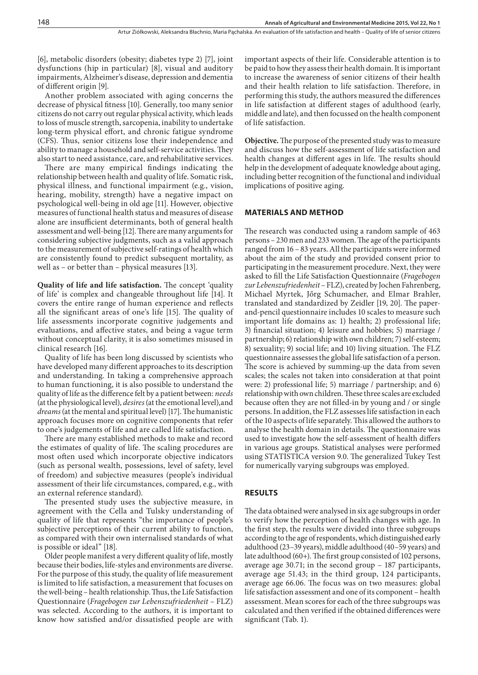[6], metabolic disorders (obesity; diabetes type 2) [7], joint dysfunctions (hip in particular) [8], visual and auditory impairments, Alzheimer's disease, depression and dementia of different origin [9].

Another problem associated with aging concerns the decrease of physical fitness [10]. Generally, too many senior citizens do not carry out regular physical activity, which leads to loss of muscle strength, sarcopenia, inability to undertake long-term physical effort, and chronic fatigue syndrome (CFS). Thus, senior citizens lose their independence and ability to manage a household and self-service activities. They also start to need assistance, care, and rehabilitative services.

There are many empirical findings indicating the relationship between health and quality of life. Somatic risk, physical illness, and functional impairment (e.g., vision, hearing, mobility, strength) have a negative impact on psychological well-being in old age [11]. However, objective measures of functional health status and measures of disease alone are insufficient determinants, both of general health assessment and well-being [12]. There are many arguments for considering subjective judgments, such as a valid approach to the measurement of subjective self-ratings of health which are consistently found to predict subsequent mortality, as well as – or better than – physical measures [13].

**Quality of life and life satisfaction.** The concept 'quality of life' is complex and changeable throughout life [14]. It covers the entire range of human experience and reflects all the significant areas of one's life [15]. The quality of life assessments incorporate cognitive judgements and evaluations, and affective states, and being a vague term without conceptual clarity, it is also sometimes misused in clinical research [16].

Quality of life has been long discussed by scientists who have developed many different approaches to its description and understanding. In taking a comprehensive approach to human functioning, it is also possible to understand the quality of life as the difference felt by a patient between: *needs*  (at the physiological level), *desires* (at the emotional level),and *dreams* (at the mental and spiritual level) [17]. The humanistic approach focuses more on cognitive components that refer to one's judgements of life and are called life satisfaction.

There are many established methods to make and record the estimates of quality of life. The scaling procedures are most often used which incorporate objective indicators (such as personal wealth, possessions, level of safety, level of freedom) and subjective measures (people's individual assessment of their life circumstances, compared, e.g., with an external reference standard).

The presented study uses the subjective measure, in agreement with the Cella and Tulsky understanding of quality of life that represents "the importance of people's subjective perceptions of their current ability to function, as compared with their own internalised standards of what is possible or ideal" [18].

Older people manifest a very different quality of life, mostly because their bodies, life-styles and environments are diverse. For the purpose of this study, the quality of life measurement is limited to life satisfaction, a measurement that focuses on the well-being – health relationship. Thus, the Life Satisfaction Questionnaire (*Fragebogen zur Lebenszufriedenheit –* FLZ) was selected. According to the authors, it is important to know how satisfied and/or dissatisfied people are with

important aspects of their life. Considerable attention is to be paid to how they assess their health domain. It is important to increase the awareness of senior citizens of their health and their health relation to life satisfaction. Therefore, in performing this study, the authors measured the differences in life satisfaction at different stages of adulthood (early, middle and late), and then focussed on the health component of life satisfaction.

**Objective.** The purpose of the presented study was to measure and discuss how the self-assessment of life satisfaction and health changes at different ages in life. The results should help in the development of adequate knowledge about aging, including better recognition of the functional and individual implications of positive aging.

## **MATERIALS AND METHOD**

The research was conducted using a random sample of 463 persons – 230 men and 233 women. The age of the participants ranged from 16 – 83 years. All the participants were informed about the aim of the study and provided consent prior to participating in the measurement procedure. Next, they were asked to fill the Life Satisfaction Questionnaire (*Fragebogen zur Lebenszufriedenheit* – FLZ), created by Jochen Fahrenberg, Michael Myrtek, Jőrg Schumacher, and Elmar Brahler, translated and standardized by Zeidler [19, 20]. The paperand-pencil questionnaire includes 10 scales to measure such important life domains as: 1) health; 2) professional life; 3) financial situation; 4) leisure and hobbies; 5) marriage / partnership; 6) relationship with own children; 7) self-esteem; 8) sexuality; 9) social life; and 10) living situation. The FLZ questionnaire assesses the global life satisfaction of a person. The score is achieved by summing-up the data from seven scales; the scales not taken into consideration at that point were: 2) professional life; 5) marriage / partnership; and 6) relationship with own children. These three scales are excluded because often they are not filled-in by young and / or single persons. In addition, the FLZ assesses life satisfaction in each of the 10 aspects of life separately. This allowed the authors to analyse the health domain in details. The questionnaire was used to investigate how the self-assessment of health differs in various age groups. Statistical analyses were performed using STATISTICA version 9.0. The generalized Tukey Test for numerically varying subgroups was employed.

#### **RESULTS**

The data obtained were analysed in six age subgroups in order to verify how the perception of health changes with age. In the first step, the results were divided into three subgroups according to the age of respondents, which distinguished early adulthood (23–39 years), middle adulthood (40–59 years) and late adulthood (60+). The first group consisted of 102 persons, average age 30.71; in the second group – 187 participants, average age 51.43; in the third group, 124 participants, average age 66.06. The focus was on two measures: global life satisfaction assessment and one of its component – health assessment. Mean scores for each of the three subgroups was calculated and then verified if the obtained differences were significant (Tab. 1).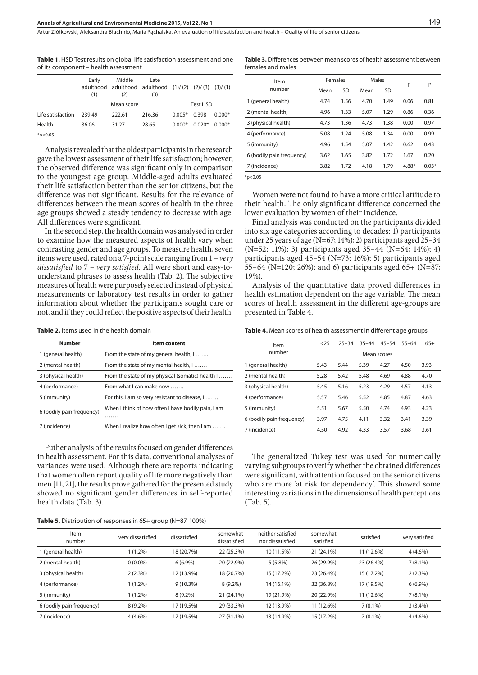Table 1. HSD Test results on global life satisfaction assessment and one of its component – health assessment

|                   | Early<br>(1) | Middle<br>adulthood adulthood adulthood $(1) / (2)$ $(2) / (3)$ $(3) / (1)$<br>(2) | Late<br>(3) |          |          |          |
|-------------------|--------------|------------------------------------------------------------------------------------|-------------|----------|----------|----------|
| Mean score        |              |                                                                                    |             |          | Test HSD |          |
| Life satisfaction | 239.49       | 222.61                                                                             | 216.36      | $0.005*$ | 0.398    | $0.000*$ |
| Health            | 36.06        | 31.27                                                                              | 28.65       | $0.000*$ | $0.020*$ | $0.000*$ |
|                   |              |                                                                                    |             |          |          |          |

 $*p<0.05$ 

Analysis revealed that the oldest participants in the research gave the lowest assessment of their life satisfaction; however, the observed difference was significant only in comparison to the youngest age group. Middle-aged adults evaluated their life satisfaction better than the senior citizens, but the difference was not significant. Results for the relevance of differences between the mean scores of health in the three age groups showed a steady tendency to decrease with age. All differences were significant.

In the second step, the health domain was analysed in order to examine how the measured aspects of health vary when contrasting gender and age groups. To measure health, seven items were used, rated on a 7-point scale ranging from 1 – *very dissatisfied* to 7 – *very satisfied.* All were short and easy-tounderstand phrases to assess health (Tab. 2). The subjective measures of health were purposely selected instead of physical measurements or laboratory test results in order to gather information about whether the participants sought care or not, and if they could reflect the positive aspects of their health.

| Table 2. Items used in the health domain |  |  |  |
|------------------------------------------|--|--|--|
|------------------------------------------|--|--|--|

| <b>Number</b>             | Item content                                       |
|---------------------------|----------------------------------------------------|
| 1 (general health)        | From the state of my general health, I             |
| 2 (mental health)         | From the state of my mental health, I              |
| 3 (physical health)       | From the state of my physical (somatic) health I   |
| 4 (performance)           | From what I can make now $\dots$                   |
| 5 (immunity)              | For this, I am so very resistant to disease, I     |
| 6 (bodily pain frequency) | When I think of how often I have bodily pain, I am |
|                           | .                                                  |
| 7 (incidence)             | When I realize how often I get sick, then I am     |

Futher analysis of the results focused on gender differences in health assessment. For this data, conventional analyses of variances were used. Although there are reports indicating that women often report quality of life more negatively than men [11, 21], the results prove gathered for the presented study showed no significant gender differences in self-reported health data (Tab. 3).

#### **Table 5.** Distribution of responses in 65+ group (N=87. 100%)

**Table 3.** Differences between mean scores of health assessment between females and males

| Item                      | Females |      | Males |      | F       | P       |  |
|---------------------------|---------|------|-------|------|---------|---------|--|
| number                    | Mean    | SD   | Mean  | SD   |         |         |  |
| 1 (general health)        | 4.74    | 1.56 | 4.70  | 1.49 | 0.06    | 0.81    |  |
| 2 (mental health)         | 4.96    | 1.33 | 5.07  | 1.29 | 0.86    | 0.36    |  |
| 3 (physical health)       | 4.73    | 1.36 | 4.73  | 1.38 | 0.00    | 0.97    |  |
| 4 (performance)           | 5.08    | 1.24 | 5.08  | 1.34 | 0.00    | 0.99    |  |
| 5 (immunity)              | 4.96    | 1.54 | 5.07  | 1.42 | 0.62    | 0.43    |  |
| 6 (bodily pain frequency) | 3.62    | 1.65 | 3.82  | 1.72 | 1.67    | 0.20    |  |
| 7 (incidence)             | 3.82    | 1.72 | 4.18  | 1.79 | $4.88*$ | $0.03*$ |  |
|                           |         |      |       |      |         |         |  |

 $*p<0.05$ 

Women were not found to have a more critical attitude to their health. The only significant difference concerned the lower evaluation by women of their incidence.

Final analysis was conducted on the participants divided into six age categories according to decades: 1) participants under 25 years of age (N=67; 14%); 2) participants aged 25–34 (N=52; 11%); 3) participants aged 35–44 (N=64; 14%); 4) participants aged 45–54 (N=73; 16%); 5) participants aged 55–64 (N=120; 26%); and 6) participants aged 65+ (N=87; 19%).

Analysis of the quantitative data proved differences in health estimation dependent on the age variable. The mean scores of health assessment in the different age-groups are presented in Table 4.

**Table 4.** Mean scores of health assessment in different age groups

| Item                      | < 25 | $25 - 34$   | $35 - 44$ | $45 - 54$ | $55 - 64$ | $65+$ |  |  |
|---------------------------|------|-------------|-----------|-----------|-----------|-------|--|--|
| number                    |      | Mean scores |           |           |           |       |  |  |
| 1 (general health)        | 5.43 | 5.44        | 5.39      | 4.27      | 4.50      | 3.93  |  |  |
| 2 (mental health)         | 5.28 | 5.42        | 5.48      | 4.69      | 4.88      | 4.70  |  |  |
| 3 (physical health)       | 5.45 | 5.16        | 5.23      | 4.29      | 4.57      | 4.13  |  |  |
| 4 (performance)           | 5.57 | 5.46        | 5.52      | 4.85      | 4.87      | 4.63  |  |  |
| 5 (immunity)              | 5.51 | 5.67        | 5.50      | 4.74      | 4.93      | 4.23  |  |  |
| 6 (bodily pain frequency) | 3.97 | 4.75        | 4.11      | 3.32      | 3.41      | 3.39  |  |  |
| 7 (incidence)             | 4.50 | 4.92        | 4.33      | 3.57      | 3.68      | 3.61  |  |  |
|                           |      |             |           |           |           |       |  |  |

The generalized Tukey test was used for numerically varying subgroups to verify whether the obtained differences were significant, with attention focused on the senior citizens who are more 'at risk for dependency'. This showed some interesting variations in the dimensions of health perceptions (Tab. 5).

| Item<br>number            | very dissatisfied | dissatisfied | somewhat<br>dissatisfied | neither satisfied<br>nor dissatisfied | somewhat<br>satisfied | satisfied  | very satisfied |
|---------------------------|-------------------|--------------|--------------------------|---------------------------------------|-----------------------|------------|----------------|
| I (general health)        | $1(1.2\%)$        | 18 (20.7%)   | 22 (25.3%)               | 10 (11.5%)                            | 21 (24.1%)            | 11 (12.6%) | $4(4.6\%)$     |
| 2 (mental health)         | $0(0.0\%)$        | $6(6.9\%)$   | 20 (22.9%)               | $5(5.8\%)$                            | 26 (29.9%)            | 23 (26.4%) | $7(8.1\%)$     |
| 3 (physical health)       | 2(2.3%)           | 12 (13.9%)   | 18 (20.7%)               | 15 (17.2%)                            | 23 (26.4%)            | 15 (17.2%) | 2(2.3%)        |
| 4 (performance)           | $1(1.2\%)$        | $9(10.3\%)$  | $8(9.2\%)$               | 14 (16.1%)                            | 32 (36.8%)            | 17 (19.5%) | $6(6.9\%)$     |
| 5 (immunity)              | $1(1.2\%)$        | $8(9.2\%)$   | 21 (24.1%)               | 19 (21.9%)                            | 20 (22.9%)            | 11 (12.6%) | $7(8.1\%)$     |
| 6 (bodily pain frequency) | $8(9.2\%)$        | 17 (19.5%)   | 29 (33.3%)               | 12 (13.9%)                            | 11 (12.6%)            | $7(8.1\%)$ | 3(3.4%)        |
| 7 (incidence)             | $4(4.6\%)$        | 17 (19.5%)   | 27 (31.1%)               | 13 (14.9%)                            | 15 (17.2%)            | $7(8.1\%)$ | $4(4.6\%)$     |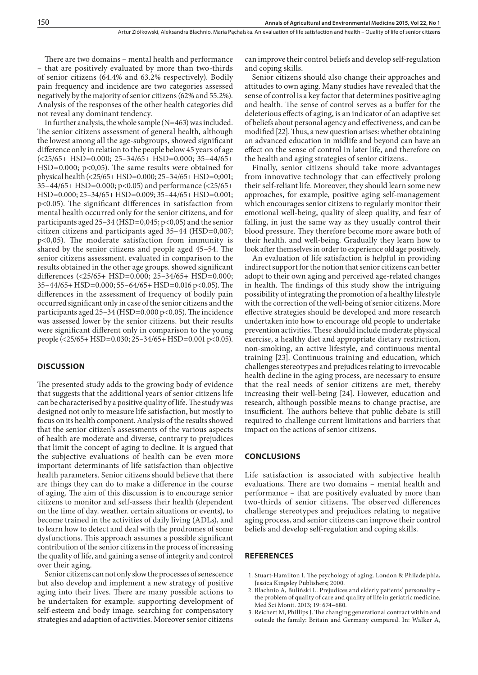There are two domains – mental health and performance – that are positively evaluated by more than two-thirds of senior citizens (64.4% and 63.2% respectively). Bodily pain frequency and incidence are two categories assessed negatively by the majority of senior citizens (62% and 55.2%). Analysis of the responses of the other health categories did not reveal any dominant tendency.

In further analysis, the whole sample (N=463) was included. The senior citizens assessment of general health, although the lowest among all the age-subgroups, showed significant difference only in relation to the people below 45 years of age (<25/65+ HSD=0.000; 25–34/65+ HSD=0.000; 35–44/65+ HSD=0.000;  $p<0,05$ ). The same results were obtained for physical health (<25/65+ HSD=0.000; 25–34/65+ HSD=0;001; 35–44/65+ HSD=0.000; p<0.05) and performance (<25/65+ HSD=0.000; 25–34/65+ HSD=0.009; 35–44/65+ HSD=0.001; p<0.05). The significant differences in satisfaction from mental health occurred only for the senior citizens, and for participants aged 25–34 (HSD=0,045; p<0,05) and the senior citizen citizens and participants aged 35–44 (HSD=0,007; p<0,05). The moderate satisfaction from immunity is shared by the senior citizens and people aged 45–54. The senior citizens assessment. evaluated in comparison to the results obtained in the other age groups. showed significant differences (<25/65+ HSD=0.000; 25–34/65+ HSD=0.000; 35–44/65+ HSD=0.000; 55–64/65+ HSD=0.016 p<0.05). The differences in the assessment of frequency of bodily pain occurred significant only in case of the senior citizens and the participants aged  $25-34$  (HSD=0.000 p<0.05). The incidence was assessed lower by the senior citizens. but their results were significant different only in comparison to the young people (<25/65+ HSD=0.030; 25–34/65+ HSD=0.001 p<0.05).

### **DISCUSSION**

The presented study adds to the growing body of evidence that suggests that the additional years of senior citizens life can be characterised by a positive quality of life. The study was designed not only to measure life satisfaction, but mostly to focus on its health component. Analysis of the results showed that the senior citizen's assessments of the various aspects of health are moderate and diverse, contrary to prejudices that limit the concept of aging to decline. It is argued that the subjective evaluations of health can be even more important determinants of life satisfaction than objective health parameters. Senior citizens should believe that there are things they can do to make a difference in the course of aging. The aim of this discussion is to encourage senior citizens to monitor and self-assess their health (dependent on the time of day. weather. certain situations or events), to become trained in the activities of daily living (ADLs), and to learn how to detect and deal with the prodromes of some dysfunctions. This approach assumes a possible significant contribution of the senior citizens in the process of increasing the quality of life, and gaining a sense of integrity and control over their aging.

Senior citizens can not only slow the processes of senescence but also develop and implement a new strategy of positive aging into their lives. There are many possible actions to be undertaken for example: supporting development of self-esteem and body image. searching for compensatory strategies and adaption of activities. Moreover senior citizens

can improve their control beliefs and develop self-regulation and coping skills.

Senior citizens should also change their approaches and attitudes to own aging. Many studies have revealed that the sense of control is a key factor that determines positive aging and health. The sense of control serves as a buffer for the deleterious effects of aging, is an indicator of an adaptive set of beliefs about personal agency and effectiveness, and can be modified [22]. Thus, a new question arises: whether obtaining an advanced education in midlife and beyond can have an effect on the sense of control in later life, and therefore on the health and aging strategies of senior citizens..

Finally, senior citizens should take more advantages from innovative technology that can effectively prolong their self-reliant life. Moreover, they should learn some new approaches, for example, positive aging self-management which encourages senior citizens to regularly monitor their emotional well-being, quality of sleep quality, and fear of falling, in just the same way as they usually control their blood pressure. They therefore become more aware both of their health. and well-being. Gradually they learn how to look after themselves in order to experience old age positively.

An evaluation of life satisfaction is helpful in providing indirect support for the notion that senior citizens can better adopt to their own aging and perceived age-related changes in health. The findings of this study show the intriguing possibility of integrating the promotion of a healthy lifestyle with the correction of the well-being of senior citizens. More effective strategies should be developed and more research undertaken into how to encourage old people to undertake prevention activities. These should include moderate physical exercise, a healthy diet and appropriate dietary restriction, non-smoking, an active lifestyle, and continuous mental training [23]. Continuous training and education, which challenges stereotypes and prejudices relating to irrevocable health decline in the aging process, are necessary to ensure that the real needs of senior citizens are met, thereby increasing their well-being [24]. However, education and research, although possible means to change practise, are insufficient. The authors believe that public debate is still required to challenge current limitations and barriers that impact on the actions of senior citizens.

#### **CONCLUSIONS**

Life satisfaction is associated with subjective health evaluations. There are two domains – mental health and performance – that are positively evaluated by more than two-thirds of senior citizens. The observed differences challenge stereotypes and prejudices relating to negative aging process, and senior citizens can improve their control beliefs and develop self-regulation and coping skills.

## **REFERENCES**

- 1. Stuart-Hamilton I. The psychology of aging. London & Philadelphia, Jessica Kingsley Publishers; 2000.
- 2. Błachnio A, Buliński L. Prejudices and elderly patients' personality the problem of quality of care and quality of life in geriatric medicine. Med Sci Monit. 2013; 19: 674–680.
- 3. Reichert M, Phillips J. The changing generational contract within and outside the family: Britain and Germany compared. In: Walker A,